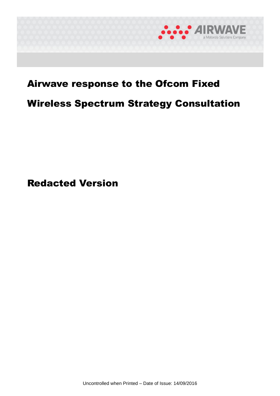

# Airwave response to the Ofcom Fixed

# Wireless Spectrum Strategy Consultation

Redacted Version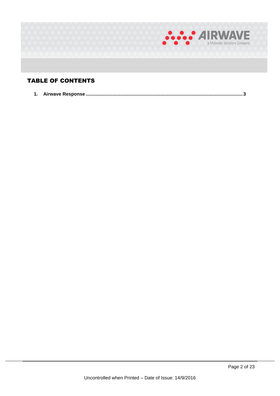

## TABLE OF CONTENTS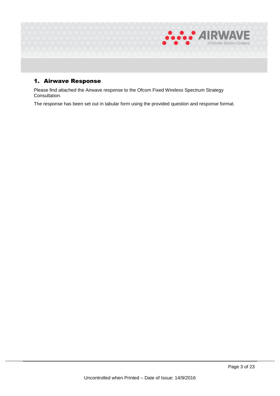

## 1. Airwave Response

Please find attached the Airwave response to the Ofcom Fixed Wireless Spectrum Strategy Consultation.

The response has been set out in tabular form using the provided question and response format.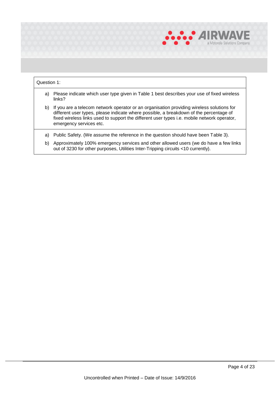

## Question 1:

- a) Please indicate which user type given in Table 1 best describes your use of fixed wireless links?
- b) If you are a telecom network operator or an organisation providing wireless solutions for different user types, please indicate where possible, a breakdown of the percentage of fixed wireless links used to support the different user types i.e. mobile network operator, emergency services etc.
- a) Public Safety. (We assume the reference in the question should have been Table 3).
- b) Approximately 100% emergency services and other allowed users (we do have a few links out of 3230 for other purposes, Utilities Inter-Tripping circuits <10 currently).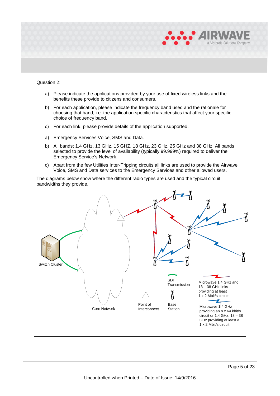

## Question 2: a) Please indicate the applications provided by your use of fixed wireless links and the benefits these provide to citizens and consumers. b) For each application, please indicate the frequency band used and the rationale for choosing that band, i.e. the application specific characteristics that affect your specific choice of frequency band. c) For each link, please provide details of the application supported. a) Emergency Services Voice, SMS and Data. b) All bands; 1.4 GHz, 13 GHz, 15 GHZ, 18 GHz, 23 GHz, 25 GHz and 38 GHz. All bands selected to provide the level of availability (typically 99.999%) required to deliver the Emergency Service's Network. c) Apart from the few Utilities Inter-Tripping circuits all links are used to provide the Airwave Voice, SMS and Data services to the Emergency Services and other allowed users. The diagrams below show where the different radio types are used and the typical circuit bandwidths they provide. Switch Cluster SDH SDH<br>Transmission Microwave 1.4 GHz and<br>13 – 38 GHz links providing at least 1 x 2 Mbit/s circuit Λ 74 Core Network **Point of** Base<br>Core Network **Profession** Interconnect Station Microwave 1.4 GHz providing an n x 64 kbit/s circuit or 1.4 GHz, 13 – 38 GHz providing at least a 1 x 2 Mbit/s circuit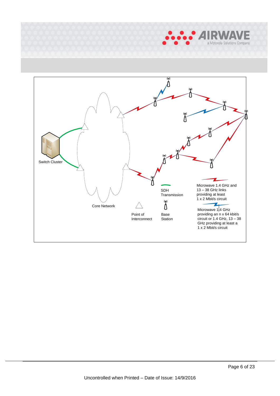

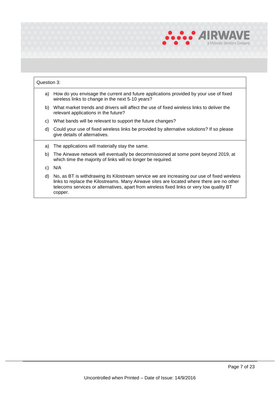

#### Question 3:

- a) How do you envisage the current and future applications provided by your use of fixed wireless links to change in the next 5-10 years?
- b) What market trends and drivers will affect the use of fixed wireless links to deliver the relevant applications in the future?
- c) What bands will be relevant to support the future changes?
- d) Could your use of fixed wireless links be provided by alternative solutions? If so please give details of alternatives.
- a) The applications will materially stay the same.
- b) The Airwave network will eventually be decommissioned at some point beyond 2019, at which time the majority of links will no longer be required.
- c) N/A
- d) No, as BT is withdrawing its Kilostream service we are increasing our use of fixed wireless links to replace the Kilostreams. Many Airwave sites are located where there are no other telecoms services or alternatives, apart from wireless fixed links or very low quality BT copper.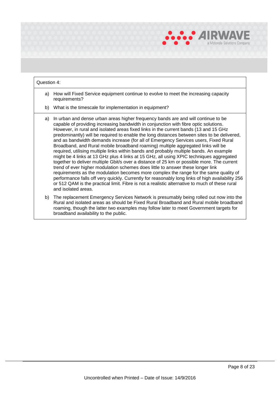

## Question 4:

- a) How will Fixed Service equipment continue to evolve to meet the increasing capacity requirements?
- b) What is the timescale for implementation in equipment?
- a) In urban and dense urban areas higher frequency bands are and will continue to be capable of providing increasing bandwidth in conjunction with fibre optic solutions. However, in rural and isolated areas fixed links in the current bands (13 and 15 GHz predominantly) will be required to enable the long distances between sites to be delivered, and as bandwidth demands increase (for all of Emergency Services users, Fixed Rural Broadband, and Rural mobile broadband roaming) multiple aggregated links will be required, utilising multiple links within bands and probably multiple bands. An example might be 4 links at 13 GHz plus 4 links at 15 GHz, all using XPIC techniques aggregated together to deliver multiple Gbit/s over a distance of 25 km or possible more. The current trend of ever higher modulation schemes does little to answer these longer link requirements as the modulation becomes more complex the range for the same quality of performance falls off very quickly. Currently for reasonably long links of high availability 256 or 512 QAM is the practical limit. Fibre is not a realistic alternative to much of these rural and isolated areas.
- b) The replacement Emergency Services Network is presumably being rolled out now into the Rural and isolated areas as should be Fixed Rural Broadband and Rural mobile broadband roaming, though the latter two examples may follow later to meet Government targets for broadband availability to the public.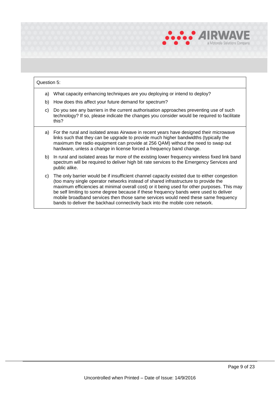

## Question 5: a) What capacity enhancing techniques are you deploying or intend to deploy? b) How does this affect your future demand for spectrum? c) Do you see any barriers in the current authorisation approaches preventing use of such technology? If so, please indicate the changes you consider would be required to facilitate this? a) For the rural and isolated areas Airwave in recent years have designed their microwave links such that they can be upgrade to provide much higher bandwidths (typically the maximum the radio equipment can provide at 256 QAM) without the need to swap out hardware, unless a change in license forced a frequency band change. b) In rural and isolated areas far more of the existing lower frequency wireless fixed link band spectrum will be required to deliver high bit rate services to the Emergency Services and public alike. c) The only barrier would be if insufficient channel capacity existed due to either congestion (too many single operator networks instead of shared infrastructure to provide the maximum efficiencies at minimal overall cost) or it being used for other purposes. This may be self limiting to some degree because if these frequency bands were used to deliver mobile broadband services then those same services would need these same frequency bands to deliver the backhaul connectivity back into the mobile core network.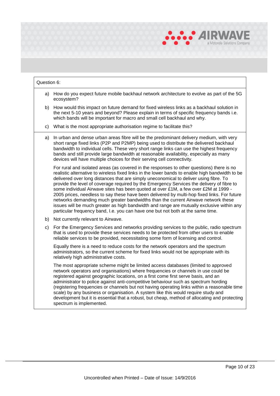

## Question 6: a) How do you expect future mobile backhaul network architecture to evolve as part of the 5G ecosystem? b) How would this impact on future demand for fixed wireless links as a backhaul solution in the next 5-10 years and beyond? Please explain in terms of specific frequency bands i.e. which bands will be important for macro and small cell backhaul and why. c) What is the most appropriate authorisation regime to facilitate this? a) In urban and dense urban areas fibre will be the predominant delivery medium, with very short range fixed links (P2P and P2MP) being used to distribute the delivered backhaul bandwidth to individual cells. These very short range links can use the highest frequency bands and still provide large bandwidth at reasonable availability, especially as many devices will have multiple choices for their serving cell connectivity. For rural and isolated areas (as covered in the responses to other questions) there is no realistic alternative to wireless fixed links in the lower bands to enable high bandwidth to be delivered over long distances that are simply uneconomical to deliver using fibre. To provide the level of coverage required by the Emergency Services the delivery of fibre to some individual Airwave sites has been quoted at over £1M, a few over £2M at 1999 - 2005 prices, needless to say these have been delivered by multi-hop fixed links. For future networks demanding much greater bandwidths than the current Airwave network these issues will be much greater as high bandwidth and range are mutually exclusive within any particular frequency band, I.e. you can have one but not both at the same time. b) Not currently relevant to Airwave. c) For the Emergency Services and networks providing services to the public, radio spectrum that is used to provide these services needs to be protected from other users to enable reliable services to be provided, necessitating some form of licensing and control. Equally there is a need to reduce costs for the network operators and the spectrum administrators, so the current scheme for fixed links would not be appropriate with its relatively high administrative costs. The most appropriate scheme might be limited access databases (limited to approved network operators and organisations) where frequencies or channels in use could be registered against geographic locations, on a first come first serve basis, and an administrator to police against anti-competitive behaviour such as spectrum hording (registering frequencies or channels but not having operating links within a reasonable time scale) by any business or organisation. A system like this would require study and development but it is essential that a robust, but cheap, method of allocating and protecting spectrum is implemented.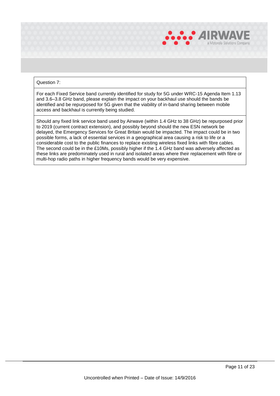

## Question 7:

For each Fixed Service band currently identified for study for 5G under WRC-15 Agenda Item 1.13 and 3.6–3.8 GHz band, please explain the impact on your backhaul use should the bands be identified and be repurposed for 5G given that the viability of in-band sharing between mobile access and backhaul is currently being studied.

Should any fixed link service band used by Airwave (within 1.4 GHz to 38 GHz) be repurposed prior to 2019 (current contract extension), and possibly beyond should the new ESN network be delayed, the Emergency Services for Great Britain would be impacted. The impact could be in two possible forms, a lack of essential services in a geographical area causing a risk to life or a considerable cost to the public finances to replace existing wireless fixed links with fibre cables. The second could be in the £10Ms, possibly higher if the 1.4 GHz band was adversely affected as these links are predominately used in rural and isolated areas where their replacement with fibre or multi-hop radio paths in higher frequency bands would be very expensive.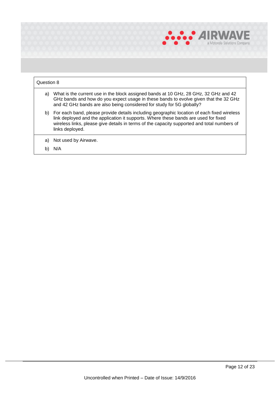

## Question 8 a) What is the current use in the block assigned bands at 10 GHz, 28 GHz, 32 GHz and 42 GHz bands and how do you expect usage in these bands to evolve given that the 32 GHz and 42 GHz bands are also being considered for study for 5G globally? b) For each band, please provide details including geographic location of each fixed wireless link deployed and the application it supports. Where these bands are used for fixed wireless links, please give details in terms of the capacity supported and total numbers of links deployed. a) Not used by Airwave.

b) N/A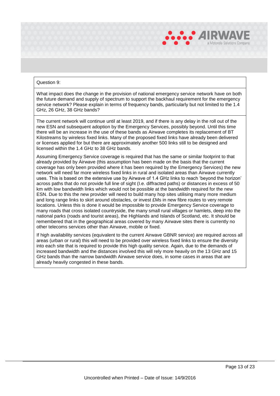

#### Question 9:

What impact does the change in the provision of national emergency service network have on both the future demand and supply of spectrum to support the backhaul requirement for the emergency service network? Please explain in terms of frequency bands, particularly but not limited to the 1.4 GHz, 26 GHz, 38 GHz bands?

The current network will continue until at least 2019, and if there is any delay in the roll out of the new ESN and subsequent adoption by the Emergency Services, possibly beyond. Until this time there will be an increase in the use of these bands as Airwave completes its replacement of BT Kilostreams by wireless fixed links. Many of the proposed fixed links have already been delivered or licenses applied for but there are approximately another 500 links still to be designed and licensed within the 1.4 GHz to 38 GHz bands.

Assuming Emergency Service coverage is required that has the same or similar footprint to that already provided by Airwave (this assumption has been made on the basis that the current coverage has only been provided where it has been required by the Emergency Services) the new network will need far more wireless fixed links in rural and isolated areas than Airwave currently uses. This is based on the extensive use by Airwave of 1.4 GHz links to reach 'beyond the horizon' across paths that do not provide full line of sight (I.e. diffracted paths) or distances in excess of 50 km with low bandwidth links which would not be possible at the bandwidth required for the new ESN. Due to this the new provider will need to build many hop sites utilising many more medium and long range links to skirt around obstacles, or invest £Ms in new fibre routes to very remote locations. Unless this is done it would be impossible to provide Emergency Service coverage to many roads that cross isolated countryside, the many small rural villages or hamlets, deep into the national parks (roads and tourist areas), the Highlands and Islands of Scotland, etc. It should be remembered that in the geographical areas covered by many Airwave sites there is currently no other telecoms services other than Airwave, mobile or fixed.

If high availability services (equivalent to the current Airwave GBNR service) are required across all areas (urban or rural) this will need to be provided over wireless fixed links to ensure the diversity into each site that is required to provide this high quality service. Again, due to the demands of increased bandwidth and the distances involved this will rely more heavily on the 13 GHz and 15 GHz bands than the narrow bandwidth Airwave service does, in some cases in areas that are already heavily congested in these bands.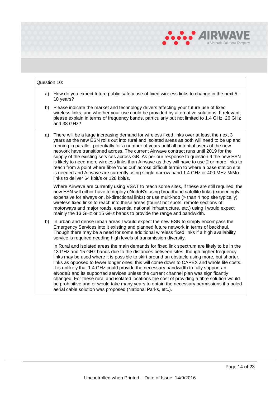

## Question 10: a) How do you expect future public safety use of fixed wireless links to change in the next 5- 10 years? b) Please indicate the market and technology drivers affecting your future use of fixed wireless links, and whether your use could be provided by alternative solutions. If relevant, please explain in terms of frequency bands, particularly but not limited to 1.4 GHz, 26 GHz and 38 GHz? a) There will be a large increasing demand for wireless fixed links over at least the next 3 years as the new ESN rolls out into rural and isolated areas as both will need to be up and running in parallel, potentially for a number of years until all potential users of the new network have transitioned across. The current Airwave contract runs until 2019 for the supply of the existing services across GB. As per our response to question 9 the new ESN is likely to need more wireless links than Airwave as they will have to use 2 or more links to reach from a point where fibre 'runs out' across difficult terrain to where a base station site is needed and Airwave are currently using single narrow band 1.4 GHz or 400 MHz MiMo links to deliver 64 kbit/s or 128 kbit/s. Where Airwave are currently using VSAT to reach some sites, if these are still required, the new ESN will either have to deploy eNodeB's using broadband satellite links (exceedingly expensive for always on, bi-directional links) or use multi-hop (> than 4 hop site typically) wireless fixed links to reach into these areas (tourist hot spots, remote sections of motorways and major roads, essential national infrastructure, etc.) using I would expect mainly the 13 GHz or 15 GHz bands to provide the range and bandwidth. b) In urban and dense urban areas I would expect the new ESN to simply encompass the Emergency Services into it existing and planned future network in terms of backhaul. Though there may be a need for some additional wireless fixed links if a high availability service is required needing high levels of transmission diversity. In Rural and isolated areas the main demands for fixed link spectrum are likely to be in the 13 GHz and 15 GHz bands due to the distances between sites, though higher frequency links may be used where it is possible to skirt around an obstacle using more, but shorter, links as opposed to fewer longer ones, this will come down to CAPEX and whole life costs. It is unlikely that 1.4 GHz could provide the necessary bandwidth to fully support an eNodeB and its supported services unless the current channel plan was significantly changed. For these rural and isolated locations the cost of providing a fibre solution would be prohibitive and or would take many years to obtain the necessary permissions if a poled aerial cable solution was proposed (National Parks, etc.).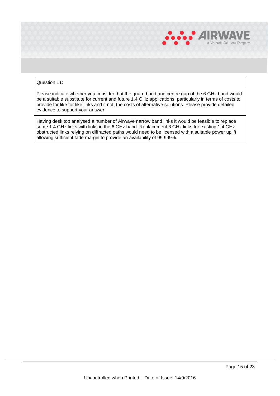

## Question 11:

Please indicate whether you consider that the guard band and centre gap of the 6 GHz band would be a suitable substitute for current and future 1.4 GHz applications, particularly in terms of costs to provide for like for like links and if not, the costs of alternative solutions. Please provide detailed evidence to support your answer.

Having desk top analysed a number of Airwave narrow band links it would be feasible to replace some 1.4 GHz links with links in the 6 GHz band. Replacement 6 GHz links for existing 1.4 GHz obstructed links relying on diffracted paths would need to be licensed with a suitable power uplift allowing sufficient fade margin to provide an availability of 99.999%.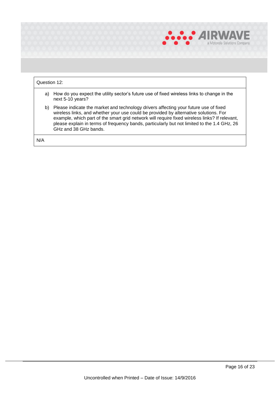

|     | Question 12:                                                                                                                                                                                                                                                                                                                                                                                          |  |  |
|-----|-------------------------------------------------------------------------------------------------------------------------------------------------------------------------------------------------------------------------------------------------------------------------------------------------------------------------------------------------------------------------------------------------------|--|--|
| a)  | How do you expect the utility sector's future use of fixed wireless links to change in the<br>next 5-10 years?                                                                                                                                                                                                                                                                                        |  |  |
| b)  | Please indicate the market and technology drivers affecting your future use of fixed<br>wireless links, and whether your use could be provided by alternative solutions. For<br>example, which part of the smart grid network will require fixed wireless links? If relevant,<br>please explain in terms of frequency bands, particularly but not limited to the 1.4 GHz, 26<br>GHz and 38 GHz bands. |  |  |
| N/A |                                                                                                                                                                                                                                                                                                                                                                                                       |  |  |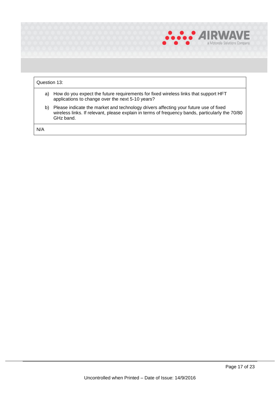

## Question 13: a) How do you expect the future requirements for fixed wireless links that support HFT applications to change over the next 5-10 years? b) Please indicate the market and technology drivers affecting your future use of fixed wireless links. If relevant, please explain in terms of frequency bands, particularly the 70/80 GHz band. N/A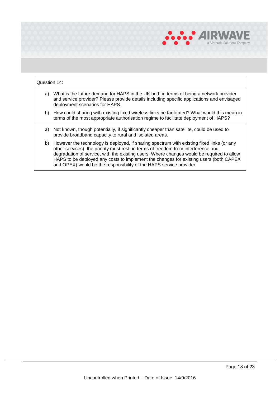

## Question 14:

- a) What is the future demand for HAPS in the UK both in terms of being a network provider and service provider? Please provide details including specific applications and envisaged deployment scenarios for HAPS.
- b) How could sharing with existing fixed wireless links be facilitated? What would this mean in terms of the most appropriate authorisation regime to facilitate deployment of HAPS?
- a) Not known, though potentially, if significantly cheaper than satellite, could be used to provide broadband capacity to rural and isolated areas.
- b) However the technology is deployed, if sharing spectrum with existing fixed links (or any other services) the priority must rest, in terms of freedom from interference and degradation of service, with the existing users. Where changes would be required to allow HAPS to be deployed any costs to implement the changes for existing users (both CAPEX and OPEX) would be the responsibility of the HAPS service provider.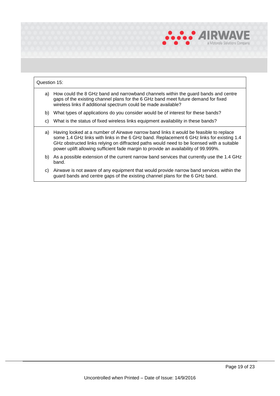

## Question 15: a) How could the 8 GHz band and narrowband channels within the guard bands and centre gaps of the existing channel plans for the 6 GHz band meet future demand for fixed wireless links if additional spectrum could be made available? b) What types of applications do you consider would be of interest for these bands? c) What is the status of fixed wireless links equipment availability in these bands? a) Having looked at a number of Airwave narrow band links it would be feasible to replace some 1.4 GHz links with links in the 6 GHz band. Replacement 6 GHz links for existing 1.4 GHz obstructed links relying on diffracted paths would need to be licensed with a suitable power uplift allowing sufficient fade margin to provide an availability of 99.999%. b) As a possible extension of the current narrow band services that currently use the 1.4 GHz band. c) Airwave is not aware of any equipment that would provide narrow band services within the guard bands and centre gaps of the existing channel plans for the 6 GHz band.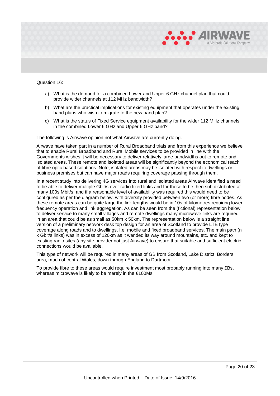

#### Question 16:

- a) What is the demand for a combined Lower and Upper 6 GHz channel plan that could provide wider channels at 112 MHz bandwidth?
- b) What are the practical implications for existing equipment that operates under the existing band plans who wish to migrate to the new band plan?
- c) What is the status of Fixed Service equipment availability for the wider 112 MHz channels in the combined Lower 6 GHz and Upper 6 GHz band?

The following is Airwave opinion not what Airwave are currently doing.

Airwave have taken part in a number of Rural Broadband trials and from this experience we believe that to enable Rural Broadband and Rural Mobile services to be provided in line with the Governments wishes it will be necessary to deliver relatively large bandwidths out to remote and isolated areas. These remote and isolated areas will be significantly beyond the economical reach of fibre optic based solutions. Note, isolated areas may be isolated with respect to dwellings or business premises but can have major roads requiring coverage passing through them.

In a recent study into delivering 4G services into rural and isolated areas Airwave identified a need to be able to deliver multiple Gbit/s over radio fixed links and for these to be then sub distributed at many 100s Mbit/s, and if a reasonable level of availability was required this would need to be configured as per the diagram below, with diversity provided between two (or more) fibre nodes. As these remote areas can be quite large the link lengths would be in 10s of kilometres requiring lower frequency operation and link aggregation. As can be seen from the (fictional) representation below, to deliver service to many small villages and remote dwellings many microwave links are required in an area that could be as small as 50km x 50km. The representation below is a straight line version of a preliminary network desk top design for an area of Scotland to provide LTE type coverage along roads and to dwellings, I.e. mobile and fixed broadband services. The main path (n x Gbit/s links) was in excess of 120km as it wended its way around mountains, etc. and kept to existing radio sites (any site provider not just Airwave) to ensure that suitable and sufficient electric connections would be available.

This type of network will be required in many areas of GB from Scotland, Lake District, Borders area, much of central Wales, down through England to Dartmoor.

To provide fibre to these areas would require investment most probably running into many £Bs, whereas microwave is likely to be merely in the £100Ms!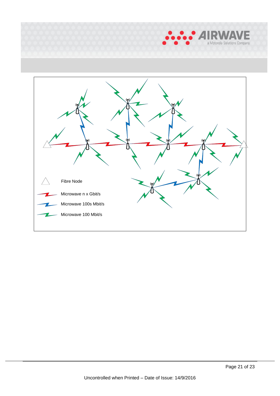

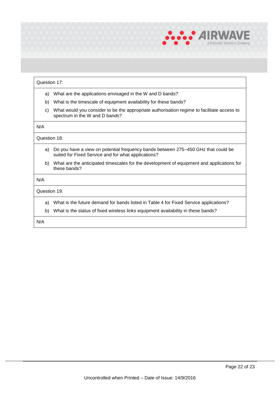

### Question 17:

- a) What are the applications envisaged in the W and D bands?
- b) What is the timescale of equipment availability for these bands?
- c) What would you consider to be the appropriate authorisation regime to facilitate access to spectrum in the W and D bands?

## N/A

#### Question 18:

- a) Do you have a view on potential frequency bands between 275–450 GHz that could be suited for Fixed Service and for what applications?
- b) What are the anticipated timescales for the development of equipment and applications for these bands?

#### N/A

## Question 19:

- a) What is the future demand for bands listed in Table 4 for Fixed Service applications?
- b) What is the status of fixed wireless links equipment availability in these bands?

N/A